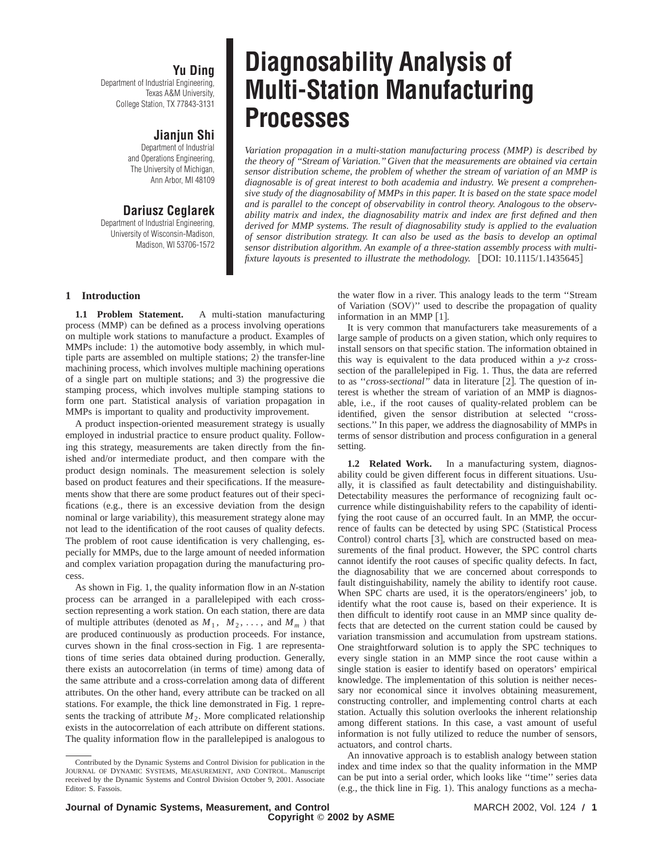# **Yu Ding**

Department of Industrial Engineering, Texas A&M University, College Station, TX 77843-3131

# **Jianjun Shi**

Department of Industrial and Operations Engineering, The University of Michigan, Ann Arbor, MI 48109

# **Dariusz Ceglarek**

Department of Industrial Engineering, University of Wisconsin-Madison, Madison, WI 53706-1572

# **Diagnosability Analysis of Multi-Station Manufacturing Processes**

*Variation propagation in a multi-station manufacturing process (MMP) is described by the theory of ''Stream of Variation.'' Given that the measurements are obtained via certain sensor distribution scheme, the problem of whether the stream of variation of an MMP is diagnosable is of great interest to both academia and industry. We present a comprehensive study of the diagnosability of MMPs in this paper. It is based on the state space model and is parallel to the concept of observability in control theory. Analogous to the observability matrix and index, the diagnosability matrix and index are first defined and then derived for MMP systems. The result of diagnosability study is applied to the evaluation of sensor distribution strategy. It can also be used as the basis to develop an optimal sensor distribution algorithm. An example of a three-station assembly process with multifixture layouts is presented to illustrate the methodology.* [DOI: 10.1115/1.1435645]

## **1 Introduction**

**1.1 Problem Statement.** A multi-station manufacturing process (MMP) can be defined as a process involving operations on multiple work stations to manufacture a product. Examples of MMPs include: 1) the automotive body assembly, in which multiple parts are assembled on multiple stations;  $2$ ) the transfer-line machining process, which involves multiple machining operations of a single part on multiple stations; and  $3$ ) the progressive die stamping process, which involves multiple stamping stations to form one part. Statistical analysis of variation propagation in MMPs is important to quality and productivity improvement.

A product inspection-oriented measurement strategy is usually employed in industrial practice to ensure product quality. Following this strategy, measurements are taken directly from the finished and/or intermediate product, and then compare with the product design nominals. The measurement selection is solely based on product features and their specifications. If the measurements show that there are some product features out of their specifications (e.g., there is an excessive deviation from the design nominal or large variability), this measurement strategy alone may not lead to the identification of the root causes of quality defects. The problem of root cause identification is very challenging, especially for MMPs, due to the large amount of needed information and complex variation propagation during the manufacturing process.

As shown in Fig. 1, the quality information flow in an *N*-station process can be arranged in a parallelepiped with each crosssection representing a work station. On each station, there are data of multiple attributes (denoted as  $M_1, M_2, \ldots$ , and  $M_m$ ) that are produced continuously as production proceeds. For instance, curves shown in the final cross-section in Fig. 1 are representations of time series data obtained during production. Generally, there exists an autocorrelation (in terms of time) among data of the same attribute and a cross-correlation among data of different attributes. On the other hand, every attribute can be tracked on all stations. For example, the thick line demonstrated in Fig. 1 represents the tracking of attribute  $M<sub>2</sub>$ . More complicated relationship exists in the autocorrelation of each attribute on different stations. The quality information flow in the parallelepiped is analogous to

the water flow in a river. This analogy leads to the term ''Stream of Variation  $(SOV)$ " used to describe the propagation of quality information in an MMP  $[1]$ .

It is very common that manufacturers take measurements of a large sample of products on a given station, which only requires to install sensors on that specific station. The information obtained in this way is equivalent to the data produced within a *y*-*z* crosssection of the parallelepiped in Fig. 1. Thus, the data are referred to as "cross-sectional" data in literature [2]. The question of interest is whether the stream of variation of an MMP is diagnosable, i.e., if the root causes of quality-related problem can be identified, given the sensor distribution at selected ''crosssections.'' In this paper, we address the diagnosability of MMPs in terms of sensor distribution and process configuration in a general setting.

**1.2 Related Work.** In a manufacturing system, diagnosability could be given different focus in different situations. Usually, it is classified as fault detectability and distinguishability. Detectability measures the performance of recognizing fault occurrence while distinguishability refers to the capability of identifying the root cause of an occurred fault. In an MMP, the occurrence of faults can be detected by using SPC (Statistical Process Control) control charts  $\lbrack 3 \rbrack$ , which are constructed based on measurements of the final product. However, the SPC control charts cannot identify the root causes of specific quality defects. In fact, the diagnosability that we are concerned about corresponds to fault distinguishability, namely the ability to identify root cause. When SPC charts are used, it is the operators/engineers' job, to identify what the root cause is, based on their experience. It is then difficult to identify root cause in an MMP since quality defects that are detected on the current station could be caused by variation transmission and accumulation from upstream stations. One straightforward solution is to apply the SPC techniques to every single station in an MMP since the root cause within a single station is easier to identify based on operators' empirical knowledge. The implementation of this solution is neither necessary nor economical since it involves obtaining measurement, constructing controller, and implementing control charts at each station. Actually this solution overlooks the inherent relationship among different stations. In this case, a vast amount of useful information is not fully utilized to reduce the number of sensors, actuators, and control charts.

An innovative approach is to establish analogy between station index and time index so that the quality information in the MMP can be put into a serial order, which looks like ''time'' series data  $(e.g., the thick line in Fig. 1).$  This analogy functions as a mecha-

Contributed by the Dynamic Systems and Control Division for publication in the JOURNAL OF DYNAMIC SYSTEMS, MEASUREMENT, AND CONTROL. Manuscript received by the Dynamic Systems and Control Division October 9, 2001. Associate Editor: S. Fassois.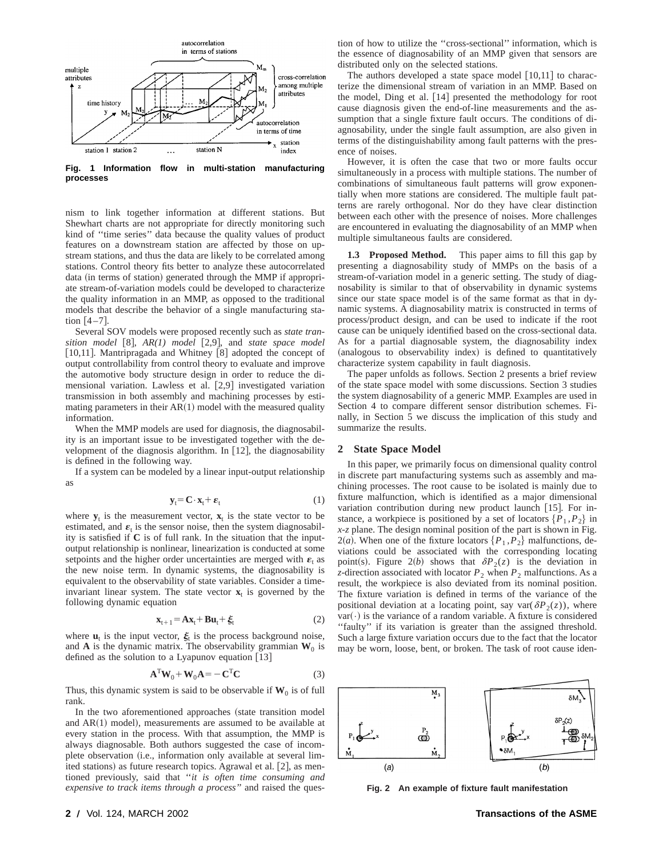

**Fig. 1 Information flow in multi-station manufacturing processes**

nism to link together information at different stations. But Shewhart charts are not appropriate for directly monitoring such kind of ''time series'' data because the quality values of product features on a downstream station are affected by those on upstream stations, and thus the data are likely to be correlated among stations. Control theory fits better to analyze these autocorrelated data (in terms of station) generated through the MMP if appropriate stream-of-variation models could be developed to characterize the quality information in an MMP, as opposed to the traditional models that describe the behavior of a single manufacturing station  $[4-7]$ .

Several SOV models were proposed recently such as *state tran* $sition model [8], AR(1) model [2,9], and state space model$ [10,11]. Mantripragada and Whitney  $[8]$  adopted the concept of output controllability from control theory to evaluate and improve the automotive body structure design in order to reduce the dimensional variation. Lawless et al.  $[2,9]$  investigated variation transmission in both assembly and machining processes by estimating parameters in their  $AR(1)$  model with the measured quality information.

When the MMP models are used for diagnosis, the diagnosability is an important issue to be investigated together with the development of the diagnosis algorithm. In  $[12]$ , the diagnosability is defined in the following way.

If a system can be modeled by a linear input-output relationship as

$$
\mathbf{y}_t = \mathbf{C} \cdot \mathbf{x}_t + \boldsymbol{\varepsilon}_t \tag{1}
$$

where  $\mathbf{y}_t$  is the measurement vector,  $\mathbf{x}_t$  is the state vector to be estimated, and  $\varepsilon_t$  is the sensor noise, then the system diagnosability is satisfied if **C** is of full rank. In the situation that the inputoutput relationship is nonlinear, linearization is conducted at some setpoints and the higher order uncertainties are merged with  $\varepsilon_t$  as the new noise term. In dynamic systems, the diagnosability is equivalent to the observability of state variables. Consider a timeinvariant linear system. The state vector  $\mathbf{x}_t$  is governed by the following dynamic equation

$$
\mathbf{x}_{t+1} = \mathbf{A}\mathbf{x}_t + \mathbf{B}\mathbf{u}_t + \boldsymbol{\xi}_t \tag{2}
$$

where  $\mathbf{u}_t$  is the input vector,  $\xi_t$  is the process background noise, and **A** is the dynamic matrix. The observability grammian  $W_0$  is defined as the solution to a Lyapunov equation  $[13]$ 

$$
\mathbf{A}^{\mathrm{T}}\mathbf{W}_0 + \mathbf{W}_0\mathbf{A} = -\mathbf{C}^{\mathrm{T}}\mathbf{C}
$$
 (3)

Thus, this dynamic system is said to be observable if  $W_0$  is of full rank.

In the two aforementioned approaches (state transition model and  $AR(1)$  model), measurements are assumed to be available at every station in the process. With that assumption, the MMP is always diagnosable. Both authors suggested the case of incomplete observation (i.e., information only available at several limited stations) as future research topics. Agrawal et al.  $[2]$ , as mentioned previously, said that ''*it is often time consuming and expensive to track items through a process''* and raised the question of how to utilize the ''cross-sectional'' information, which is the essence of diagnosability of an MMP given that sensors are distributed only on the selected stations.

The authors developed a state space model  $[10,11]$  to characterize the dimensional stream of variation in an MMP. Based on the model, Ding et al.  $[14]$  presented the methodology for root cause diagnosis given the end-of-line measurements and the assumption that a single fixture fault occurs. The conditions of diagnosability, under the single fault assumption, are also given in terms of the distinguishability among fault patterns with the presence of noises.

However, it is often the case that two or more faults occur simultaneously in a process with multiple stations. The number of combinations of simultaneous fault patterns will grow exponentially when more stations are considered. The multiple fault patterns are rarely orthogonal. Nor do they have clear distinction between each other with the presence of noises. More challenges are encountered in evaluating the diagnosability of an MMP when multiple simultaneous faults are considered.

**1.3 Proposed Method.** This paper aims to fill this gap by presenting a diagnosability study of MMPs on the basis of a stream-of-variation model in a generic setting. The study of diagnosability is similar to that of observability in dynamic systems since our state space model is of the same format as that in dynamic systems. A diagnosability matrix is constructed in terms of process/product design, and can be used to indicate if the root cause can be uniquely identified based on the cross-sectional data. As for a partial diagnosable system, the diagnosability index (analogous to observability index) is defined to quantitatively characterize system capability in fault diagnosis.

The paper unfolds as follows. Section 2 presents a brief review of the state space model with some discussions. Section 3 studies the system diagnosability of a generic MMP. Examples are used in Section 4 to compare different sensor distribution schemes. Finally, in Section 5 we discuss the implication of this study and summarize the results.

#### **2 State Space Model**

In this paper, we primarily focus on dimensional quality control in discrete part manufacturing systems such as assembly and machining processes. The root cause to be isolated is mainly due to fixture malfunction, which is identified as a major dimensional variation contribution during new product launch  $[15]$ . For instance, a workpiece is positioned by a set of locators  $\{P_1, P_2\}$  in *x*-*z* plane. The design nominal position of the part is shown in Fig.  $2(a)$ . When one of the fixture locators  $\{P_1, P_2\}$  malfunctions, deviations could be associated with the corresponding locating point(s). Figure 2(b) shows that  $\delta P_2(z)$  is the deviation in *z*-direction associated with locator  $P_2$  when  $P_2$  malfunctions. As a result, the workpiece is also deviated from its nominal position. The fixture variation is defined in terms of the variance of the positional deviation at a locating point, say var( $\delta P_2(z)$ ), where  $var(\cdot)$  is the variance of a random variable. A fixture is considered "faulty" if its variation is greater than the assigned threshold. Such a large fixture variation occurs due to the fact that the locator may be worn, loose, bent, or broken. The task of root cause iden-



**Fig. 2 An example of fixture fault manifestation**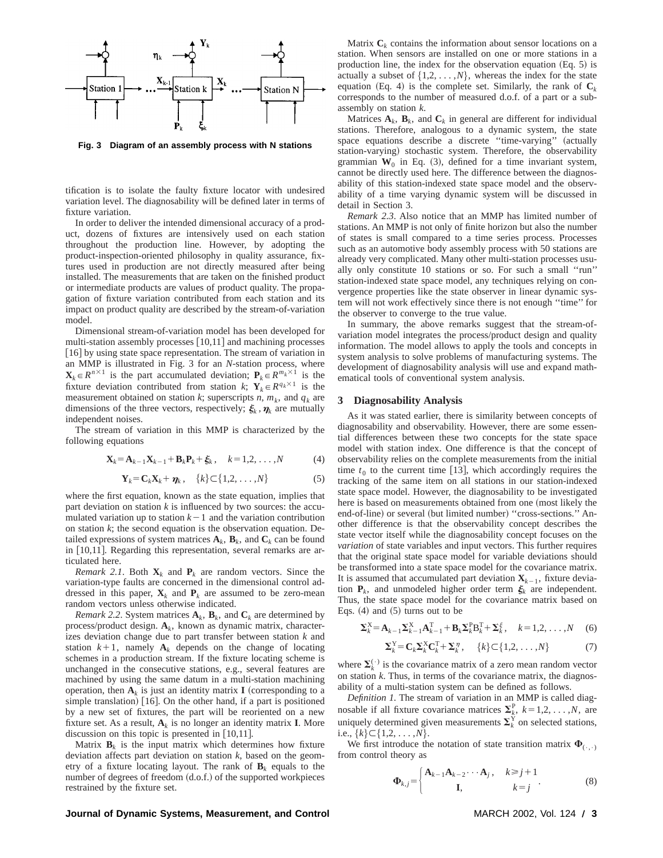

**Fig. 3 Diagram of an assembly process with N stations**

tification is to isolate the faulty fixture locator with undesired variation level. The diagnosability will be defined later in terms of fixture variation.

In order to deliver the intended dimensional accuracy of a product, dozens of fixtures are intensively used on each station throughout the production line. However, by adopting the product-inspection-oriented philosophy in quality assurance, fixtures used in production are not directly measured after being installed. The measurements that are taken on the finished product or intermediate products are values of product quality. The propagation of fixture variation contributed from each station and its impact on product quality are described by the stream-of-variation model.

Dimensional stream-of-variation model has been developed for multi-station assembly processes  $\lceil 10,11 \rceil$  and machining processes [16] by using state space representation. The stream of variation in an MMP is illustrated in Fig. 3 for an *N*-station process, where  $\mathbf{X}_k \in R^{n \times 1}$  is the part accumulated deviation;  $\mathbf{P}_k \in R^{m_k \times 1}$  is the fixture deviation contributed from station *k*;  $\mathbf{Y}_k \in R^{q_k \times 1}$  is the measurement obtained on station *k*; superscripts *n*,  $m_k$ , and  $q_k$  are dimensions of the three vectors, respectively;  $\xi_k$ ,  $\eta_k$  are mutually independent noises.

The stream of variation in this MMP is characterized by the following equations

$$
\mathbf{X}_k = \mathbf{A}_{k-1} \mathbf{X}_{k-1} + \mathbf{B}_k \mathbf{P}_k + \boldsymbol{\xi}_k, \quad k = 1, 2, \dots, N \tag{4}
$$

$$
\mathbf{Y}_k = \mathbf{C}_k \mathbf{X}_k + \boldsymbol{\eta}_k, \quad \{k\} \subset \{1, 2, \dots, N\}
$$
 (5)

where the first equation, known as the state equation, implies that part deviation on station  $k$  is influenced by two sources: the accumulated variation up to station  $k-1$  and the variation contribution on station *k*; the second equation is the observation equation. Detailed expressions of system matrices  $A_k$ ,  $B_k$ , and  $C_k$  can be found in  $[10,11]$ . Regarding this representation, several remarks are articulated here.

*Remark 2.1.* Both  $X_k$  and  $P_k$  are random vectors. Since the variation-type faults are concerned in the dimensional control addressed in this paper,  $X_k$  and  $P_k$  are assumed to be zero-mean random vectors unless otherwise indicated.

*Remark 2.2.* System matrices  $A_k$ ,  $B_k$ , and  $C_k$  are determined by process/product design.  $A_k$ , known as dynamic matrix, characterizes deviation change due to part transfer between station *k* and station  $k+1$ , namely  $A_k$  depends on the change of locating schemes in a production stream. If the fixture locating scheme is unchanged in the consecutive stations, e.g., several features are machined by using the same datum in a multi-station machining operation, then  $A_k$  is just an identity matrix **I** (corresponding to a simple translation)  $[16]$ . On the other hand, if a part is positioned by a new set of fixtures, the part will be reoriented on a new fixture set. As a result,  $A_k$  is no longer an identity matrix **I**. More discussion on this topic is presented in  $[10,11]$ .

Matrix  $\mathbf{B}_k$  is the input matrix which determines how fixture deviation affects part deviation on station *k*, based on the geometry of a fixture locating layout. The rank of  $\mathbf{B}_k$  equals to the number of degrees of freedom  $(d.o.f.)$  of the supported workpieces restrained by the fixture set.

Matrix  $C_k$  contains the information about sensor locations on a station. When sensors are installed on one or more stations in a production line, the index for the observation equation  $(Eq. 5)$  is actually a subset of  $\{1,2,\ldots,N\}$ , whereas the index for the state equation (Eq. 4) is the complete set. Similarly, the rank of  $C_k$ corresponds to the number of measured d.o.f. of a part or a subassembly on station *k*.

Matrices  $A_k$ ,  $B_k$ , and  $C_k$  in general are different for individual stations. Therefore, analogous to a dynamic system, the state space equations describe a discrete "time-varying" (actually station-varying) stochastic system. Therefore, the observability grammian  $W_0$  in Eq. (3), defined for a time invariant system, cannot be directly used here. The difference between the diagnosability of this station-indexed state space model and the observability of a time varying dynamic system will be discussed in detail in Section 3.

*Remark 2.3*. Also notice that an MMP has limited number of stations. An MMP is not only of finite horizon but also the number of states is small compared to a time series process. Processes such as an automotive body assembly process with 50 stations are already very complicated. Many other multi-station processes usually only constitute 10 stations or so. For such a small ''run'' station-indexed state space model, any techniques relying on convergence properties like the state observer in linear dynamic system will not work effectively since there is not enough ''time'' for the observer to converge to the true value.

In summary, the above remarks suggest that the stream-ofvariation model integrates the process/product design and quality information. The model allows to apply the tools and concepts in system analysis to solve problems of manufacturing systems. The development of diagnosability analysis will use and expand mathematical tools of conventional system analysis.

#### **3 Diagnosability Analysis**

As it was stated earlier, there is similarity between concepts of diagnosability and observability. However, there are some essential differences between these two concepts for the state space model with station index. One difference is that the concept of observability relies on the complete measurements from the initial time  $t_0$  to the current time [13], which accordingly requires the tracking of the same item on all stations in our station-indexed state space model. However, the diagnosability to be investigated here is based on measurements obtained from one (most likely the end-of-line) or several (but limited number) "cross-sections." Another difference is that the observability concept describes the state vector itself while the diagnosability concept focuses on the *variation* of state variables and input vectors. This further requires that the original state space model for variable deviations should be transformed into a state space model for the covariance matrix. It is assumed that accumulated part deviation  $X_{k-1}$ , fixture deviation  $P_k$ , and unmodeled higher order term  $\xi_k$  are independent. Thus, the state space model for the covariance matrix based on Eqs.  $(4)$  and  $(5)$  turns out to be

$$
\Sigma_k^X = \mathbf{A}_{k-1} \Sigma_{k-1}^X \mathbf{A}_{k-1}^T + \mathbf{B}_k \Sigma_k^P \mathbf{B}_k^T + \Sigma_k^{\xi}, \quad k = 1, 2, \dots, N \quad (6)
$$

$$
\Sigma_k^{\mathbf{Y}} = \mathbf{C}_k \Sigma_k^{\mathbf{X}} \mathbf{C}_k^{\mathbf{T}} + \Sigma_k^{\eta}, \quad \{k\} \subset \{1, 2, \dots, N\} \tag{7}
$$

where  $\Sigma_k^{(\cdot)}$  is the covariance matrix of a zero mean random vector on station *k*. Thus, in terms of the covariance matrix, the diagnosability of a multi-station system can be defined as follows.

*Definition 1.* The stream of variation in an MMP is called diagnosable if all fixture covariance matrices  $\Sigma_k^P$ ,  $k = 1,2, \ldots, N$ , are uniquely determined given measurements  $\Sigma_k^{\text{Y}}$  on selected stations, i.e.,  $\{k\} \subset \{1,2,\ldots,N\}.$ 

We first introduce the notation of state transition matrix  $\Phi$ <sub>(•,•)</sub> from control theory as

$$
\Phi_{k,j} = \begin{cases} \mathbf{A}_{k-1} \mathbf{A}_{k-2} \cdots \mathbf{A}_j, & k \geq j+1 \\ \mathbf{I}, & k = j \end{cases} \tag{8}
$$

#### **Journal of Dynamic Systems, Measurement, and Control** MARCH 2002, Vol. 124 / 3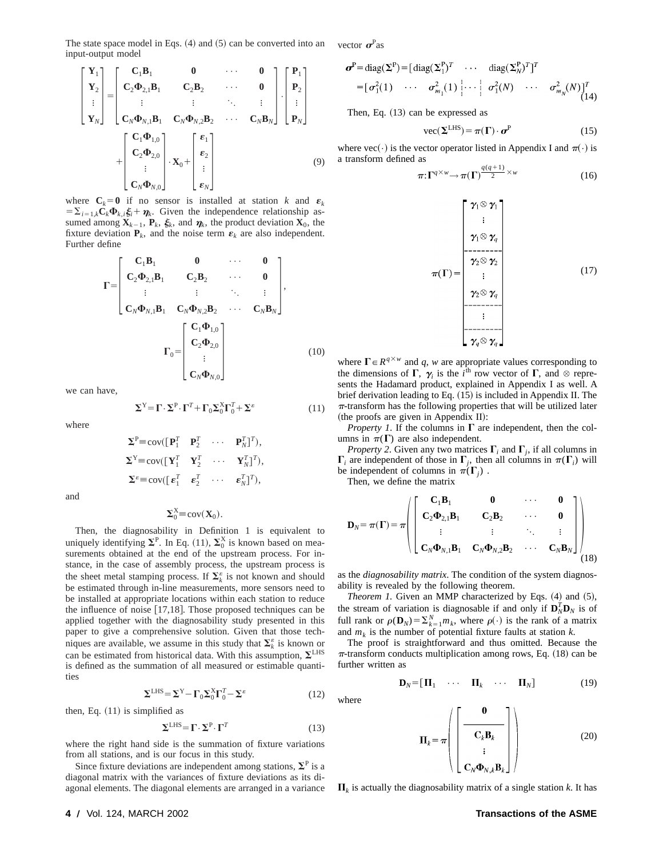The state space model in Eqs. (4) and (5) can be converted into an vector  $\sigma^P$  as input-output model

$$
\begin{bmatrix} \mathbf{Y}_1 \\ \mathbf{Y}_2 \\ \vdots \\ \mathbf{Y}_N \end{bmatrix} = \begin{bmatrix} \mathbf{C}_1 \mathbf{B}_1 & \mathbf{0} & \cdots & \mathbf{0} \\ \mathbf{C}_2 \Phi_{2,1} \mathbf{B}_1 & \mathbf{C}_2 \mathbf{B}_2 & \cdots & \mathbf{0} \\ \vdots & \vdots & \ddots & \vdots \\ \mathbf{C}_N \Phi_{N,1} \mathbf{B}_1 & \mathbf{C}_N \Phi_{N,2} \mathbf{B}_2 & \cdots & \mathbf{C}_N \mathbf{B}_N \end{bmatrix} \begin{bmatrix} \mathbf{P}_1 \\ \mathbf{P}_2 \\ \vdots \\ \mathbf{P}_N \end{bmatrix}
$$

$$
+ \begin{bmatrix} \mathbf{C}_1 \Phi_{1,0} \\ \mathbf{C}_2 \Phi_{2,0} \\ \vdots \\ \mathbf{C}_N \Phi_{N,0} \end{bmatrix} \cdot \mathbf{X}_0 + \begin{bmatrix} \epsilon_1 \\ \epsilon_2 \\ \vdots \\ \epsilon_N \end{bmatrix}
$$
(9)

where  $C_k = 0$  if no sensor is installed at station *k* and  $\varepsilon_k$  $=\sum_{i=1,k}C_k\Phi_{k,i}\xi_i+\eta_k$ . Given the independence relationship assumed among  $\mathbf{X}_{k-1}$ ,  $\mathbf{P}_k$ ,  $\boldsymbol{\xi}_k$ , and  $\boldsymbol{\eta}_k$ , the product deviation  $\mathbf{X}_0$ , the fixture deviation  $P_k$ , and the noise term  $\varepsilon_k$  are also independent. Further define

$$
\Gamma = \begin{bmatrix} C_1B_1 & 0 & \cdots & 0 \\ C_2\Phi_{2,1}B_1 & C_2B_2 & \cdots & 0 \\ \vdots & \vdots & \ddots & \vdots \\ C_N\Phi_{N,1}B_1 & C_N\Phi_{N,2}B_2 & \cdots & C_NB_N \end{bmatrix},
$$

$$
\Gamma_0 = \begin{bmatrix} C_1\Phi_{1,0} \\ C_2\Phi_{2,0} \\ \vdots \\ C_N\Phi_{N,0} \end{bmatrix}
$$
(10)

we can have,

$$
\Sigma^{\mathrm{Y}} = \Gamma \cdot \Sigma^{\mathrm{P}} \cdot \Gamma^{\mathrm{T}} + \Gamma_0 \Sigma_0^{\mathrm{X}} \Gamma_0^{\mathrm{T}} + \Sigma^{\varepsilon}
$$
 (11)

where

$$
\Sigma^{\text{P}} \equiv \text{cov}([\mathbf{P}_1^T \quad \mathbf{P}_2^T \quad \cdots \quad \mathbf{P}_N^T]^T),
$$
  
\n
$$
\Sigma^{\text{Y}} \equiv \text{cov}([\mathbf{Y}_1^T \quad \mathbf{Y}_2^T \quad \cdots \quad \mathbf{Y}_N^T]^T),
$$
  
\n
$$
\Sigma^{\varepsilon} \equiv \text{cov}([\mathbf{\varepsilon}_1^T \quad \mathbf{\varepsilon}_2^T \quad \cdots \quad \mathbf{\varepsilon}_N^T]^T),
$$

and

$$
\Sigma_0^X \equiv cov(\mathbf{X}_0).
$$

Then, the diagnosability in Definition 1 is equivalent to uniquely identifying  $\Sigma^P$ . In Eq. (11),  $\Sigma_0^X$  is known based on measurements obtained at the end of the upstream process. For instance, in the case of assembly process, the upstream process is the sheet metal stamping process. If  $\Sigma_k^{\varepsilon}$  is not known and should be estimated through in-line measurements, more sensors need to be installed at appropriate locations within each station to reduce the influence of noise  $[17,18]$ . Those proposed techniques can be applied together with the diagnosability study presented in this paper to give a comprehensive solution. Given that those techniques are available, we assume in this study that  $\sum_{k=1}^{\infty}$  is known or can be estimated from historical data. With this assumption,  $\Sigma^{\text{LHS}}$ is defined as the summation of all measured or estimable quantities

$$
\Sigma^{\text{LHS}} = \Sigma^{\text{Y}} - \Gamma_0 \Sigma_0^{\text{X}} \Gamma_0^T - \Sigma^{\varepsilon}
$$
 (12)

then, Eq.  $(11)$  is simplified as

$$
\Sigma^{\text{LHS}} = \Gamma \cdot \Sigma^{\text{P}} \cdot \Gamma^T \tag{13}
$$

where the right hand side is the summation of fixture variations from all stations, and is our focus in this study.

Since fixture deviations are independent among stations,  $\Sigma^P$  is a diagonal matrix with the variances of fixture deviations as its diagonal elements. The diagonal elements are arranged in a variance

$$
\boldsymbol{\sigma}^{\text{P}} = \text{diag}(\boldsymbol{\Sigma}^{\text{P}}) = [\text{diag}(\boldsymbol{\Sigma}^{\text{P}}_1)^T \cdots \text{diag}(\boldsymbol{\Sigma}^{\text{P}}_N)^T]^T
$$
  
=  $[\sigma_1^2(1) \cdots \sigma_{m_1}^2(1)] \cdots \sigma_1^2(N) \cdots \sigma_{m_N}^2(N)]^T$  (14)

Then, Eq.  $(13)$  can be expressed as

$$
\text{vec}(\Sigma^{\text{LHS}}) = \pi(\Gamma) \cdot \boldsymbol{\sigma}^{\text{P}} \tag{15}
$$

where vec( $\cdot$ ) is the vector operator listed in Appendix I and  $\pi(\cdot)$  is a transform defined as

$$
\pi: \Gamma^{q \times w} \to \pi(\Gamma)^{\frac{q(q+1)}{2} \times w} \tag{16}
$$

$$
\pi(\Gamma) = \begin{bmatrix} \gamma_1 \otimes \gamma_1 \\ \vdots \\ \gamma_1 \otimes \gamma_q \\ \gamma_2 \otimes \gamma_2 \\ \vdots \\ \gamma_2 \otimes \gamma_q \\ \vdots \\ \gamma_q \otimes \gamma_q \end{bmatrix}
$$
 (17)

where  $\Gamma \in R^{q \times w}$  and *q*, *w* are appropriate values corresponding to the dimensions of  $\Gamma$ ,  $\gamma$ <sub>i</sub> is the *i*<sup>th</sup> row vector of  $\Gamma$ , and  $\otimes$  represents the Hadamard product, explained in Appendix I as well. A brief derivation leading to Eq. (15) is included in Appendix II. The  $\pi$ -transform has the following properties that will be utilized later (the proofs are given in Appendix II):

*Property 1*. If the columns in  $\Gamma$  are independent, then the columns in  $\pi(\Gamma)$  are also independent.

*Property 2.* Given any two matrices  $\Gamma$ <sub>*i*</sub> and  $\Gamma$ <sub>*i*</sub>, if all columns in  $\Gamma_i$  are independent of those in  $\Gamma_i$ , then all columns in  $\pi(\Gamma_i)$  will be independent of columns in  $\pi(\Gamma_i)$ .

Then, we define the matrix

$$
\mathbf{D}_N = \pi(\Gamma) = \pi \left( \begin{bmatrix} \mathbf{C}_1 \mathbf{B}_1 & \mathbf{0} & \cdots & \mathbf{0} \\ \mathbf{C}_2 \Phi_{2,1} \mathbf{B}_1 & \mathbf{C}_2 \mathbf{B}_2 & \cdots & \mathbf{0} \\ \vdots & \vdots & \ddots & \vdots \\ \mathbf{C}_N \Phi_{N,1} \mathbf{B}_1 & \mathbf{C}_N \Phi_{N,2} \mathbf{B}_2 & \cdots & \mathbf{C}_N \mathbf{B}_N \end{bmatrix} \right)_{(18)}
$$

as the *diagnosability matrix*. The condition of the system diagnosability is revealed by the following theorem.

*Theorem 1.* Given an MMP characterized by Eqs.  $(4)$  and  $(5)$ , the stream of variation is diagnosable if and only if  $D_N^T D_N$  is of full rank or  $\rho(\mathbf{D}_N) = \sum_{k=1}^N m_k$ , where  $\rho(\cdot)$  is the rank of a matrix and  $m_k$  is the number of potential fixture faults at station  $k$ .

The proof is straightforward and thus omitted. Because the  $\pi$ -transform conducts multiplication among rows, Eq. (18) can be further written as

$$
\mathbf{D}_N = [\mathbf{\Pi}_1 \quad \cdots \quad \mathbf{\Pi}_k \quad \cdots \quad \mathbf{\Pi}_N] \tag{19}
$$

where

$$
\Pi_{k} = \pi \left( \begin{bmatrix} \mathbf{0} \\ \hline \mathbf{C}_{k} \mathbf{B}_{k} \\ \vdots \\ \mathbf{C}_{N} \mathbf{\Phi}_{N,k} \mathbf{B}_{k} \end{bmatrix} \right) \tag{20}
$$

 $\Pi_k$  is actually the diagnosability matrix of a single station  $k$ . It has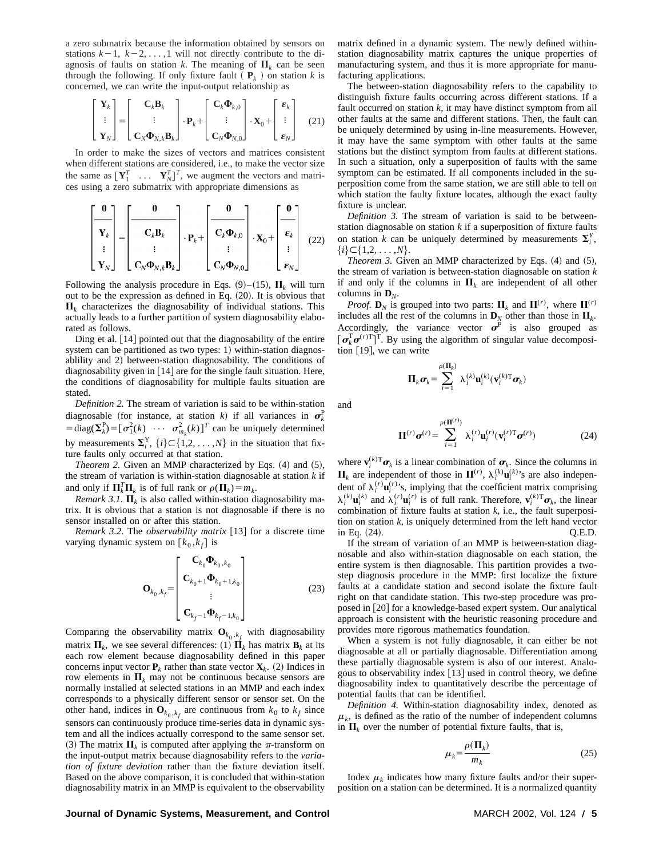a zero submatrix because the information obtained by sensors on stations  $k-1$ ,  $k-2$ , ..., 1 will not directly contribute to the diagnosis of faults on station *k*. The meaning of  $\Pi_k$  can be seen through the following. If only fixture fault  $({\bf P}_k)$  on station *k* is concerned, we can write the input-output relationship as

$$
\begin{bmatrix} \mathbf{Y}_{k} \\ \vdots \\ \mathbf{Y}_{N} \end{bmatrix} = \begin{bmatrix} \mathbf{C}_{k} \mathbf{B}_{k} \\ \vdots \\ \mathbf{C}_{N} \boldsymbol{\Phi}_{N,k} \mathbf{B}_{k} \end{bmatrix} \cdot \mathbf{P}_{k} + \begin{bmatrix} \mathbf{C}_{k} \boldsymbol{\Phi}_{k,0} \\ \vdots \\ \mathbf{C}_{N} \boldsymbol{\Phi}_{N,0} \end{bmatrix} \cdot \mathbf{X}_{0} + \begin{bmatrix} \boldsymbol{\varepsilon}_{k} \\ \vdots \\ \boldsymbol{\varepsilon}_{N} \end{bmatrix} \quad (21)
$$

In order to make the sizes of vectors and matrices consistent when different stations are considered, i.e., to make the vector size the same as  $[\mathbf{Y}_1^T \dots \mathbf{Y}_N^T]^T$ , we augment the vectors and matrices using a zero submatrix with appropriate dimensions as

$$
\begin{bmatrix} \mathbf{0} \\ \mathbf{Y}_{k} \\ \vdots \\ \mathbf{Y}_{N} \end{bmatrix} = \begin{bmatrix} \mathbf{0} \\ \mathbf{C}_{k} \mathbf{B}_{k} \\ \vdots \\ \mathbf{C}_{N} \mathbf{\Phi}_{N,k} \mathbf{B}_{k} \end{bmatrix} \cdot \mathbf{P}_{k} + \begin{bmatrix} \mathbf{0} \\ \mathbf{C}_{k} \mathbf{\Phi}_{k,0} \\ \vdots \\ \mathbf{C}_{N} \mathbf{\Phi}_{N,0} \end{bmatrix} \cdot \mathbf{X}_{0} + \begin{bmatrix} \mathbf{0} \\ \mathbf{\varepsilon}_{k} \\ \vdots \\ \mathbf{\varepsilon}_{N} \end{bmatrix} \quad (22)
$$

Following the analysis procedure in Eqs.  $(9)$ – $(15)$ ,  $\Pi_k$  will turn out to be the expression as defined in Eq.  $(20)$ . It is obvious that  $\Pi_k$  characterizes the diagnosability of individual stations. This actually leads to a further partition of system diagnosability elaborated as follows.

Ding et al. [14] pointed out that the diagnosability of the entire system can be partitioned as two types:  $1)$  within-station diagnosablility and 2) between-station diagnosability. The conditions of diagnosability given in  $[14]$  are for the single fault situation. Here, the conditions of diagnosability for multiple faults situation are stated.

*Definition 2.* The stream of variation is said to be within-station diagnosable (for instance, at station *k*) if all variances in  $\sigma_k^P$  $\int = \text{diag}(\Sigma_k^P) = [\sigma_1^2(k) \cdots \sigma_{m_k}^2(k)]^T$  can be uniquely determined by measurements  $\Sigma_i^Y$ ,  $\{i\} \subset \{1,2,\ldots,N\}$  in the situation that fixture faults only occurred at that station.

*Theorem 2.* Given an MMP characterized by Eqs.  $(4)$  and  $(5)$ , the stream of variation is within-station diagnosable at station *k* if and only if  $\mathbf{\Pi}_{k}^{T} \mathbf{\Pi}_{k}$  is of full rank or  $\rho(\mathbf{\Pi}_{k}) = m_{k}$ .

*Remark 3.1*.  $\Pi_k$  is also called within-station diagnosability matrix. It is obvious that a station is not diagnosable if there is no sensor installed on or after this station.

*Remark 3.2.* The *observability matrix* [13] for a discrete time varying dynamic system on  $[k_0, k_f]$  is

$$
\mathbf{O}_{k_0, k_f} = \begin{bmatrix} \mathbf{C}_{k_0} \mathbf{\Phi}_{k_0, k_0} \\ \mathbf{C}_{k_0+1} \mathbf{\Phi}_{k_0+1, k_0} \\ \vdots \\ \mathbf{C}_{k_f-1} \mathbf{\Phi}_{k_f-1, k_0} \end{bmatrix}
$$
(23)

Comparing the observability matrix  $\mathbf{O}_{k_0, k_f}$  with diagnosability matrix  $\Pi_k$ , we see several differences: (1)  $\Pi_k$  has matrix  $\mathbf{B}_k$  at its each row element because diagnosability defined in this paper concerns input vector  $P_k$  rather than state vector  $X_k$ . (2) Indices in row elements in  $\Pi_k$  may not be continuous because sensors are normally installed at selected stations in an MMP and each index corresponds to a physically different sensor or sensor set. On the other hand, indices in  $\mathbf{O}_{k_0, k_f}$  are continuous from  $k_0$  to  $k_f$  since sensors can continuously produce time-series data in dynamic system and all the indices actually correspond to the same sensor set. (3) The matrix  $\Pi_k$  is computed after applying the  $\pi$ -transform on the input-output matrix because diagnosability refers to the *variation of fixture deviation* rather than the fixture deviation itself. Based on the above comparison, it is concluded that within-station diagnosability matrix in an MMP is equivalent to the observability matrix defined in a dynamic system. The newly defined withinstation diagnosability matrix captures the unique properties of manufacturing system, and thus it is more appropriate for manufacturing applications.

The between-station diagnosability refers to the capability to distinguish fixture faults occurring across different stations. If a fault occurred on station *k*, it may have distinct symptom from all other faults at the same and different stations. Then, the fault can be uniquely determined by using in-line measurements. However, it may have the same symptom with other faults at the same stations but the distinct symptom from faults at different stations. In such a situation, only a superposition of faults with the same symptom can be estimated. If all components included in the superposition come from the same station, we are still able to tell on which station the faulty fixture locates, although the exact faulty fixture is unclear.

*Definition 3.* The stream of variation is said to be betweenstation diagnosable on station *k* if a superposition of fixture faults on station *k* can be uniquely determined by measurements  $\Sigma_i^Y$ ,  $\{i\} \subset \{1,2,\ldots,N\}.$ 

*Theorem 3.* Given an MMP characterized by Eqs.  $(4)$  and  $(5)$ , the stream of variation is between-station diagnosable on station *k* if and only if the columns in  $\Pi_k$  are independent of all other columns in  $\mathbf{D}_N$ .

*Proof.*  $\mathbf{D}_N$  is grouped into two parts:  $\mathbf{\Pi}_k$  and  $\mathbf{\Pi}^{(r)}$ , where  $\mathbf{\Pi}^{(r)}$ includes all the rest of the columns in  $\mathbf{D}_N$  other than those in  $\mathbf{\Pi}_k$ . Accordingly, the variance vector  $\sigma^P$  is also grouped as  $\left[\boldsymbol{\sigma}_{k}^{T} \boldsymbol{\sigma}^{(r)T}\right]^{T}$ . By using the algorithm of singular value decomposition  $[19]$ , we can write

$$
\boldsymbol{\Pi}_k \boldsymbol{\sigma}_k \text{=}\sum_{i=1}^{\rho(\boldsymbol{\Pi}_k)} \; \boldsymbol{\lambda}_i^{(k)} \boldsymbol{\mathrm{u}}_i^{(k)} (\boldsymbol{\mathrm{v}}_i^{(k)\text{T}} \boldsymbol{\sigma}_k)
$$

and

$$
\Pi^{(r)}\boldsymbol{\sigma}^{(r)} = \sum_{i=1}^{\rho(\Pi^{(r)})} \lambda_i^{(r)} \mathbf{u}_i^{(r)} (\mathbf{v}_i^{(r)} \mathbf{T} \boldsymbol{\sigma}^{(r)})
$$
(24)

where  $\mathbf{v}_i^{(k)}$ <sup>T</sup> $\sigma_k$  is a linear combination of  $\sigma_k$ . Since the columns in  $\Pi_k$  are independent of those in  $\Pi^{(r)}$ ,  $\lambda_i^{(k)} \mathbf{u}_i^{(k)}$ 's are also independent of  $\lambda_i^{(r)} \mathbf{u}_i^{(r)}$ 's, implying that the coefficient matrix comprising  $\lambda_i^{(k)}$ **u**<sup>(*k*</sup>)</sub> and  $\lambda_i^{(r)}$ **u**<sup>(*r*)</sup> is of full rank. Therefore,  $\mathbf{v}_i^{(k)}$ <sup>T</sup> $\sigma_k$ , the linear combination of fixture faults at station *k*, i.e., the fault superposition on station *k*, is uniquely determined from the left hand vector in Eq.  $(24)$ . Q.E.D.

If the stream of variation of an MMP is between-station diagnosable and also within-station diagnosable on each station, the entire system is then diagnosable. This partition provides a twostep diagnosis procedure in the MMP: first localize the fixture faults at a candidate station and second isolate the fixture fault right on that candidate station. This two-step procedure was proposed in [20] for a knowledge-based expert system. Our analytical approach is consistent with the heuristic reasoning procedure and provides more rigorous mathematics foundation.

When a system is not fully diagnosable, it can either be not diagnosable at all or partially diagnosable. Differentiation among these partially diagnosable system is also of our interest. Analogous to observability index  $[13]$  used in control theory, we define diagnosability index to quantitatively describe the percentage of potential faults that can be identified.

*Definition 4.* Within-station diagnosability index, denoted as  $\mu_k$ , is defined as the ratio of the number of independent columns in  $\Pi_k$  over the number of potential fixture faults, that is,

$$
\mu_k = \frac{\rho(\Pi_k)}{m_k} \tag{25}
$$

Index  $\mu_k$  indicates how many fixture faults and/or their superposition on a station can be determined. It is a normalized quantity

#### **Journal of Dynamic Systems, Measurement, and Control MARCH 2002, Vol. 124 / 5**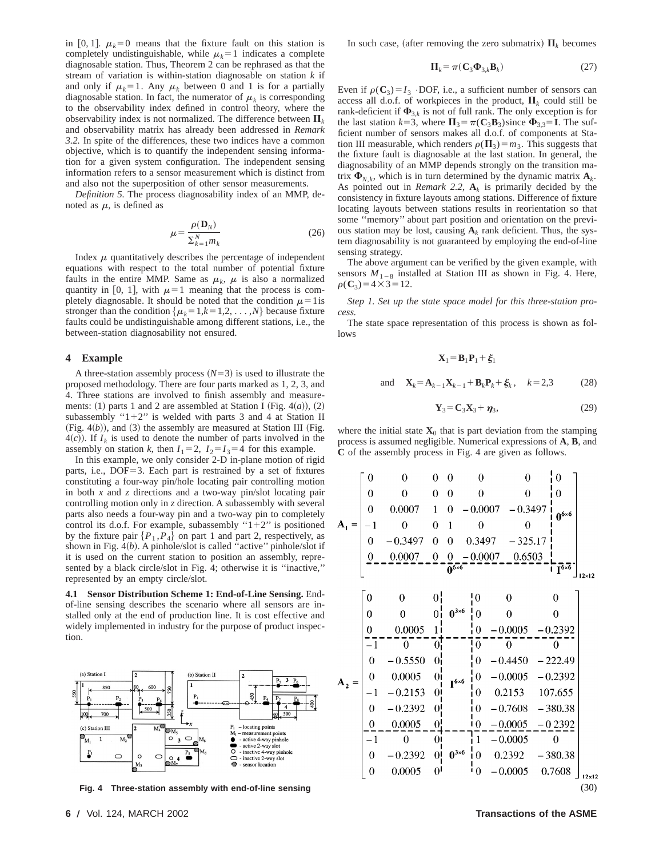in [0, 1].  $\mu_k=0$  means that the fixture fault on this station is completely undistinguishable, while  $\mu_k=1$  indicates a complete diagnosable station. Thus, Theorem 2 can be rephrased as that the stream of variation is within-station diagnosable on station *k* if and only if  $\mu_k=1$ . Any  $\mu_k$  between 0 and 1 is for a partially diagnosable station. In fact, the numerator of  $\mu_k$  is corresponding to the observability index defined in control theory, where the observability index is not normalized. The difference between  $\Pi_k$ and observability matrix has already been addressed in *Remark 3.2.* In spite of the differences, these two indices have a common objective, which is to quantify the independent sensing information for a given system configuration. The independent sensing information refers to a sensor measurement which is distinct from and also not the superposition of other sensor measurements.

*Definition 5.* The process diagnosability index of an MMP, denoted as  $\mu$ , is defined as

$$
\mu = \frac{\rho(\mathbf{D}_N)}{\sum_{k=1}^N m_k} \tag{26}
$$

Index  $\mu$  quantitatively describes the percentage of independent equations with respect to the total number of potential fixture faults in the entire MMP. Same as  $\mu_k$ ,  $\mu$  is also a normalized quantity in [0, 1], with  $\mu=1$  meaning that the process is completely diagnosable. It should be noted that the condition  $\mu=1$  is stronger than the condition  $\{\mu_k=1, k=1,2,\ldots,N\}$  because fixture faults could be undistinguishable among different stations, i.e., the between-station diagnosability not ensured.

# **4 Example**

A three-station assembly process  $(N=3)$  is used to illustrate the proposed methodology. There are four parts marked as 1, 2, 3, and 4. Three stations are involved to finish assembly and measurements:  $(1)$  parts 1 and 2 are assembled at Station I (Fig. 4 $(a)$ ),  $(2)$ subassembly " $1+2$ " is welded with parts 3 and 4 at Station II  $(Fig. 4(b))$ , and  $(3)$  the assembly are measured at Station III (Fig.  $4(c)$ ). If  $I_k$  is used to denote the number of parts involved in the assembly on station *k*, then  $I_1 = 2$ ,  $I_2 = I_3 = 4$  for this example.

In this example, we only consider 2-D in-plane motion of rigid parts, i.e., DOF=3. Each part is restrained by a set of fixtures constituting a four-way pin/hole locating pair controlling motion in both *x* and *z* directions and a two-way pin/slot locating pair controlling motion only in *z* direction. A subassembly with several parts also needs a four-way pin and a two-way pin to completely control its d.o.f. For example, subassembly " $1+2$ " is positioned by the fixture pair  $\{P_1, P_4\}$  on part 1 and part 2, respectively, as shown in Fig. 4(b). A pinhole/slot is called "active" pinhole/slot if it is used on the current station to position an assembly, represented by a black circle/slot in Fig. 4; otherwise it is ''inactive,'' represented by an empty circle/slot.

**4.1 Sensor Distribution Scheme 1: End-of-Line Sensing.** Endof-line sensing describes the scenario where all sensors are installed only at the end of production line. It is cost effective and widely implemented in industry for the purpose of product inspection.



Fig. 4 Three-station assembly with end-of-line sensing

In such case, (after removing the zero submatrix)  $\Pi_k$  becomes

$$
\Pi_k = \pi(\mathbf{C}_3 \mathbf{\Phi}_{3,k} \mathbf{B}_k) \tag{27}
$$

Even if  $\rho(C_3) = I_3$  ·DOF, i.e., a sufficient number of sensors can access all d.o.f. of workpieces in the product,  $\Pi_k$  could still be rank-deficient if  $\Phi_{3,k}$  is not of full rank. The only exception is for the last station  $k=3$ , where  $\Pi_3 = \pi(\mathbf{C}_3 \mathbf{B}_3)$  since  $\Phi_3 = I$ . The sufficient number of sensors makes all d.o.f. of components at Station III measurable, which renders  $\rho(\Pi_3) = m_3$ . This suggests that the fixture fault is diagnosable at the last station. In general, the diagnosability of an MMP depends strongly on the transition matrix  $\Phi_{N,k}$ , which is in turn determined by the dynamic matrix  $\mathbf{A}_k$ . As pointed out in *Remark 2.2*,  $A_k$  is primarily decided by the consistency in fixture layouts among stations. Difference of fixture locating layouts between stations results in reorientation so that some ''memory'' about part position and orientation on the previous station may be lost, causing  $A_k$  rank deficient. Thus, the system diagnosability is not guaranteed by employing the end-of-line sensing strategy.

The above argument can be verified by the given example, with sensors  $M_{1-8}$  installed at Station III as shown in Fig. 4. Here,  $\rho(C_3)=4\times3=12.$ 

*Step 1. Set up the state space model for this three-station process.*

The state space representation of this process is shown as follows

$$
\mathbf{X}_1 = \mathbf{B}_1 \mathbf{P}_1 + \xi_1
$$
  
and 
$$
\mathbf{X}_k = \mathbf{A}_{k-1} \mathbf{X}_{k-1} + \mathbf{B}_k \mathbf{P}_k + \xi_k, \quad k = 2,3
$$
 (28)

$$
\mathbf{Y}_3 = \mathbf{C}_3 \mathbf{X}_3 + \boldsymbol{\eta}_3,\tag{29}
$$

where the initial state  $X_0$  that is part deviation from the stamping process is assumed negligible. Numerical expressions of **A**, **B**, and **C** of the assembly process in Fig. 4 are given as follows.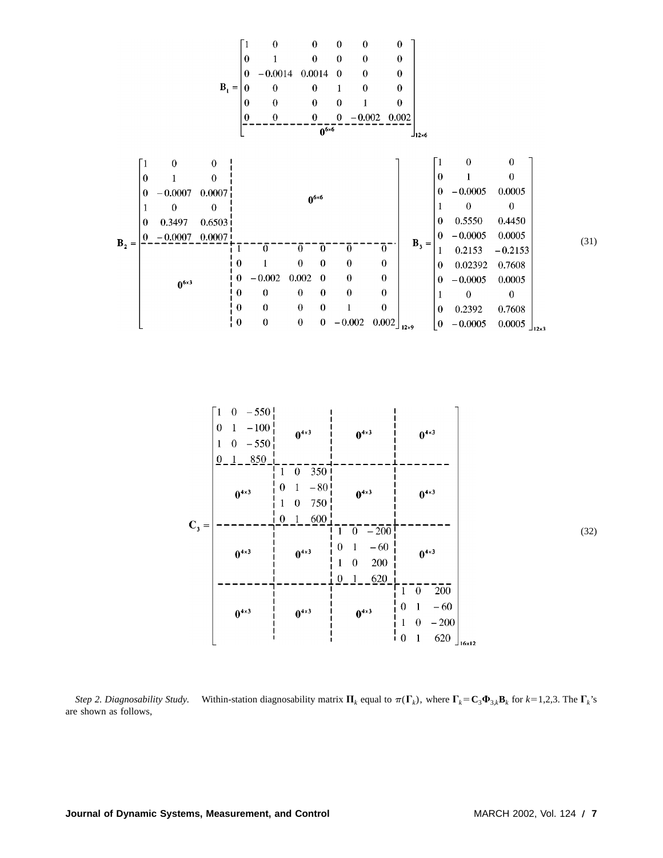



*Step 2. Diagnosability Study.* Within-station diagnosability matrix  $\Pi_k$  equal to  $\pi(\Gamma_k)$ , where  $\Gamma_k = C_3 \Phi_{3,k} \mathbf{B}_k$  for  $k=1,2,3$ . The  $\Gamma_k$ 's are shown as follows,

(32)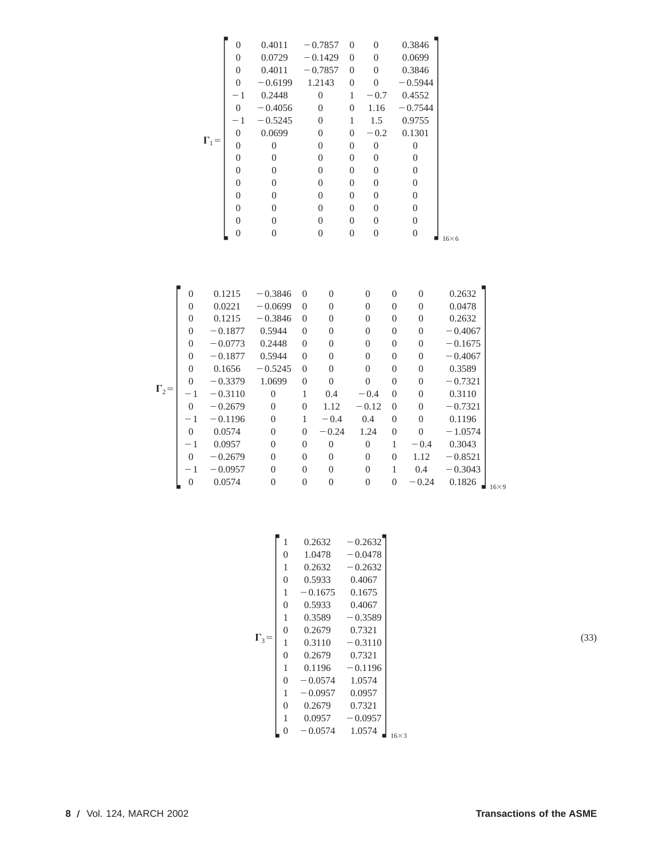|              | $\theta$       | 0.4011         | $-0.7857$      | $\overline{0}$ | $\overline{0}$ | 0.3846    |              |
|--------------|----------------|----------------|----------------|----------------|----------------|-----------|--------------|
|              | $\Omega$       | 0.0729         | $-0.1429$      | $\theta$       | $\theta$       | 0.0699    |              |
|              | $\Omega$       | 0.4011         | $-0.7857$      | $\overline{0}$ | $\overline{0}$ | 0.3846    |              |
|              | $\Omega$       | $-0.6199$      | 1.2143         | $\theta$       | $\Omega$       | $-0.5944$ |              |
|              | 1<br>—         | 0.2448         | 0              | 1              | $-0.7$         | 0.4552    |              |
|              | 0              | $-0.4056$      | 0              | $\overline{0}$ | 1.16           | $-0.7544$ |              |
|              | $^{-1}$        | $-0.5245$      | $\overline{0}$ | 1              | 1.5            | 0.9755    |              |
| $\Gamma_1 =$ | $\Omega$       | 0.0699         | 0              | $\Omega$       | $-0.2$         | 0.1301    |              |
|              | 0              | $\theta$       | 0              | $\overline{0}$ | $\theta$       | $\Omega$  |              |
|              | $\theta$       | $\overline{0}$ | 0              | $\theta$       | $\theta$       | $\Omega$  |              |
|              | $\theta$       | $\theta$       | 0              | $\theta$       | $\overline{0}$ | $\Omega$  |              |
|              | $\overline{0}$ | $\theta$       | 0              | $\theta$       | $\overline{0}$ | $\Omega$  |              |
|              | $\theta$       | $\overline{0}$ | 0              | $\theta$       | $\theta$       | $\theta$  |              |
|              | $\theta$       | $\overline{0}$ | $\theta$       | $\theta$       | $\theta$       | $\theta$  |              |
|              | $\Omega$       | $\theta$       | $\theta$       | $\theta$       | $\theta$       | $\Omega$  |              |
|              |                | $\Omega$       | 0              | $\theta$       | $\overline{0}$ | $\Omega$  | $16\times 6$ |
|              |                |                |                |                |                |           |              |

|              | $\Omega$       | 0.1215    | $-0.3846$ | $\Omega$       | $\Omega$       | $\Omega$ | $\Omega$       | $\Omega$ | 0.2632    |             |
|--------------|----------------|-----------|-----------|----------------|----------------|----------|----------------|----------|-----------|-------------|
|              | $\Omega$       | 0.0221    | $-0.0699$ | $\Omega$       | $\overline{0}$ | $\Omega$ | $\Omega$       | $\Omega$ | 0.0478    |             |
|              | $\overline{0}$ | 0.1215    | $-0.3846$ | $\Omega$       | $\theta$       | $\theta$ | $\Omega$       | $\Omega$ | 0.2632    |             |
|              | $\Omega$       | $-0.1877$ | 0.5944    | $\Omega$       | $\Omega$       | $\theta$ | $\theta$       | $\Omega$ | $-0.4067$ |             |
|              | $\Omega$       | $-0.0773$ | 0.2448    | $\Omega$       | $\Omega$       | $\theta$ | $\theta$       | $\Omega$ | $-0.1675$ |             |
|              | $\Omega$       | $-0.1877$ | 0.5944    | $\mathbf{0}$   | $\Omega$       | $\theta$ | $\theta$       | $\theta$ | $-0.4067$ |             |
|              | $\Omega$       | 0.1656    | $-0.5245$ | $\Omega$       | $\Omega$       | $\Omega$ | $\Omega$       | $\Omega$ | 0.3589    |             |
|              | $\Omega$       | $-0.3379$ | 1.0699    | $\Omega$       | $\Omega$       | $\Omega$ | $\theta$       | $\Omega$ | $-0.7321$ |             |
| $\Gamma_2 =$ | - 1            | $-0.3110$ | $\Omega$  | 1              | 0.4            | $-0.4$   | $\Omega$       | $\theta$ | 0.3110    |             |
|              | $\Omega$       | $-0.2679$ | $\Omega$  | $\Omega$       | 1.12           | $-0.12$  | $\Omega$       | $\Omega$ | $-0.7321$ |             |
|              | $-1$           | $-0.1196$ | $\Omega$  | 1              | $-0.4$         | 0.4      | $\theta$       | $\Omega$ | 0.1196    |             |
|              | $\Omega$       | 0.0574    | $\Omega$  | $\Omega$       | $-0.24$        | 1.24     | $\Omega$       | $\Omega$ | $-1.0574$ |             |
|              | $-1$           | 0.0957    | $\theta$  | $\Omega$       | $\Omega$       | $\Omega$ | 1              | $-0.4$   | 0.3043    |             |
|              | $\Omega$       | $-0.2679$ | $\theta$  | $\Omega$       | $\Omega$       | $\Omega$ | $\theta$       | 1.12     | $-0.8521$ |             |
|              | $-1$           | $-0.0957$ | $\Omega$  | $\Omega$       | $\Omega$       | $\Omega$ | 1              | 0.4      | $-0.3043$ |             |
|              | $\overline{0}$ | 0.0574    | $\theta$  | $\overline{0}$ | $\overline{0}$ | $\theta$ | $\overline{0}$ | $-0.24$  | 0.1826    | $16\times9$ |
|              |                |           |           |                |                |          |                |          |           |             |

$$
\Gamma_3 = \left[\begin{array}{cccc} 1 & 0.2632 & -0.2632 \\ 0 & 1.0478 & -0.0478 \\ 1 & 0.2632 & -0.2632 \\ 0 & 0.5933 & 0.4067 \\ 1 & -0.1675 & 0.1675 \\ 0 & 0.5933 & 0.4067 \\ 1 & 0.3589 & -0.3589 \\ 0 & 0.2679 & 0.7321 \\ 1 & 0.3110 & -0.3110 \\ 0 & 0.2679 & 0.7321 \\ 1 & 0.1196 & -0.1196 \\ 0 & -0.0574 & 1.0574 \\ 1 & -0.0957 & 0.0957 \\ 0 & 0.2679 & 0.7321 \\ 1 & 0.0957 & -0.0957 \\ 0 & -0.0574 & 1.0574 \\ 0 & -0.0574 & 1.0574 \\ 0 & -0.0574 & 1.0574 \\ 0 & -0.0574 & 1.0574 \\ \end{array}\right]_{16\times 3}
$$

(33)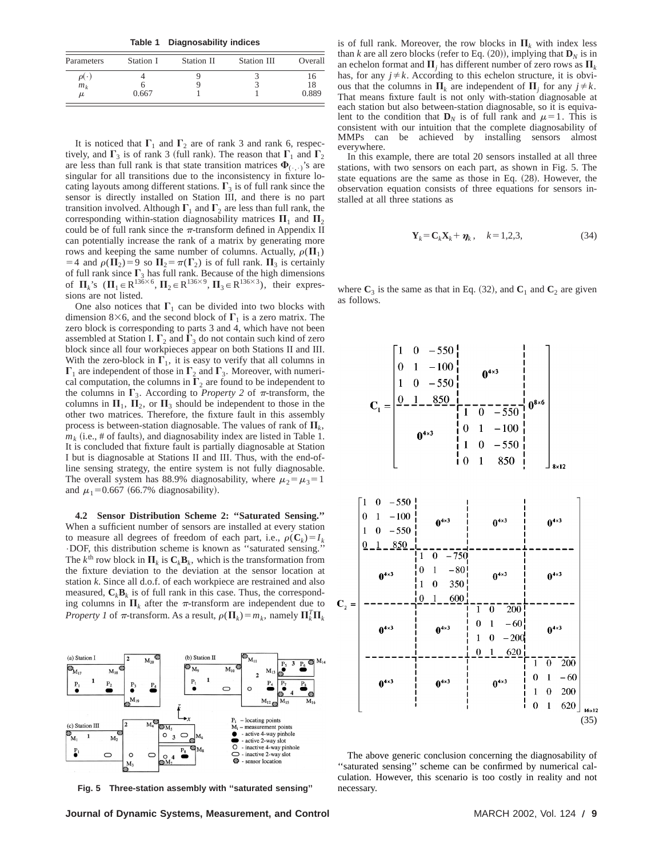**Table 1 Diagnosability indices**

| Parameters     | Station I | Station II | Station III | Overall |
|----------------|-----------|------------|-------------|---------|
| $\rho(\cdot)$  |           |            |             |         |
| m <sub>k</sub> |           |            |             |         |
| μ              | 0.667     |            |             | 0.889   |

It is noticed that  $\Gamma_1$  and  $\Gamma_2$  are of rank 3 and rank 6, respectively, and  $\Gamma_3$  is of rank 3 (full rank). The reason that  $\Gamma_1$  and  $\Gamma_2$ are less than full rank is that state transition matrices  $\Phi_{(\cdot,\cdot)}$ 's are singular for all transitions due to the inconsistency in fixture locating layouts among different stations.  $\Gamma_3$  is of full rank since the sensor is directly installed on Station III, and there is no part transition involved. Although  $\Gamma_1$  and  $\Gamma_2$  are less than full rank, the corresponding within-station diagnosability matrices  $\Pi_1$  and  $\Pi_2$ could be of full rank since the  $\pi$ -transform defined in Appendix II can potentially increase the rank of a matrix by generating more rows and keeping the same number of columns. Actually,  $\rho(\Pi_1)$ =4 and  $\rho(\Pi_2)=9$  so  $\Pi_2=\pi(\Gamma_2)$  is of full rank.  $\Pi_3$  is certainly of full rank since  $\Gamma_3$  has full rank. Because of the high dimensions of  $\Pi_k$ 's  $(\Pi_1 \in \mathbb{R}^{136 \times 6}, \Pi_2 \in \mathbb{R}^{136 \times 9}, \Pi_3 \in \mathbb{R}^{136 \times 3}$ , their expressions are not listed.

One also notices that  $\Gamma_1$  can be divided into two blocks with dimension 8×6, and the second block of  $\Gamma_1$  is a zero matrix. The zero block is corresponding to parts 3 and 4, which have not been assembled at Station I.  $\Gamma_2$  and  $\Gamma_3$  do not contain such kind of zero block since all four workpieces appear on both Stations II and III. With the zero-block in  $\Gamma_1$ , it is easy to verify that all columns in  $\Gamma_1$  are independent of those in  $\Gamma_2$  and  $\Gamma_3$ . Moreover, with numerical computation, the columns in  $\tilde{\Gamma}_2$  are found to be independent to the columns in  $\Gamma_3$ . According to *Property 2* of  $\pi$ -transform, the columns in  $\Pi_1$ ,  $\Pi_2$ , or  $\Pi_3$  should be independent to those in the other two matrices. Therefore, the fixture fault in this assembly process is between-station diagnosable. The values of rank of  $\Pi_k$ ,  $m_k$  (i.e., # of faults), and diagnosability index are listed in Table 1. It is concluded that fixture fault is partially diagnosable at Station I but is diagnosable at Stations II and III. Thus, with the end-ofline sensing strategy, the entire system is not fully diagnosable. The overall system has 88.9% diagnosability, where  $\mu_2 = \mu_3 = 1$ and  $\mu_1$ =0.667 (66.7% diagnosability).

**4.2 Sensor Distribution Scheme 2: ''Saturated Sensing.''** When a sufficient number of sensors are installed at every station to measure all degrees of freedom of each part, i.e.,  $\rho(C_k) = I_k$ •DOF, this distribution scheme is known as ''saturated sensing.'' The  $k^{\text{th}}$  row block in  $\Pi_k$  is  $C_k B_k$ , which is the transformation from the fixture deviation to the deviation at the sensor location at station *k*. Since all d.o.f. of each workpiece are restrained and also measured,  $C_k B_k$  is of full rank in this case. Thus, the corresponding columns in  $\Pi_k$  after the  $\pi$ -transform are independent due to *Property 1* of  $\pi$ -transform. As a result,  $\rho(\mathbf{\Pi}_k) = m_k$ , namely  $\mathbf{\Pi}_k^T \mathbf{\Pi}_k$ 



**Fig. 5 Three-station assembly with ''saturated sensing''** necessary.

is of full rank. Moreover, the row blocks in  $\Pi_k$  with index less than *k* are all zero blocks (refer to Eq. (20)), implying that  $\mathbf{D}_N$  is in an echelon format and  $\Pi_i$  has different number of zero rows as  $\Pi_k$ has, for any  $j \neq k$ . According to this echelon structure, it is obvious that the columns in  $\Pi_k$  are independent of  $\Pi_j$  for any  $j \neq k$ . That means fixture fault is not only with-station diagnosable at each station but also between-station diagnosable, so it is equivalent to the condition that  $\mathbf{D}_N$  is of full rank and  $\mu=1$ . This is consistent with our intuition that the complete diagnosability of MMPs can be achieved by installing sensors almost everywhere.

In this example, there are total 20 sensors installed at all three stations, with two sensors on each part, as shown in Fig. 5. The state equations are the same as those in Eq.  $(28)$ . However, the observation equation consists of three equations for sensors installed at all three stations as

$$
\mathbf{Y}_k = \mathbf{C}_k \mathbf{X}_k + \boldsymbol{\eta}_k, \quad k = 1, 2, 3,
$$
 (34)

where  $C_3$  is the same as that in Eq. (32), and  $C_1$  and  $C_2$  are given as follows.



The above generic conclusion concerning the diagnosability of ''saturated sensing'' scheme can be confirmed by numerical calculation. However, this scenario is too costly in reality and not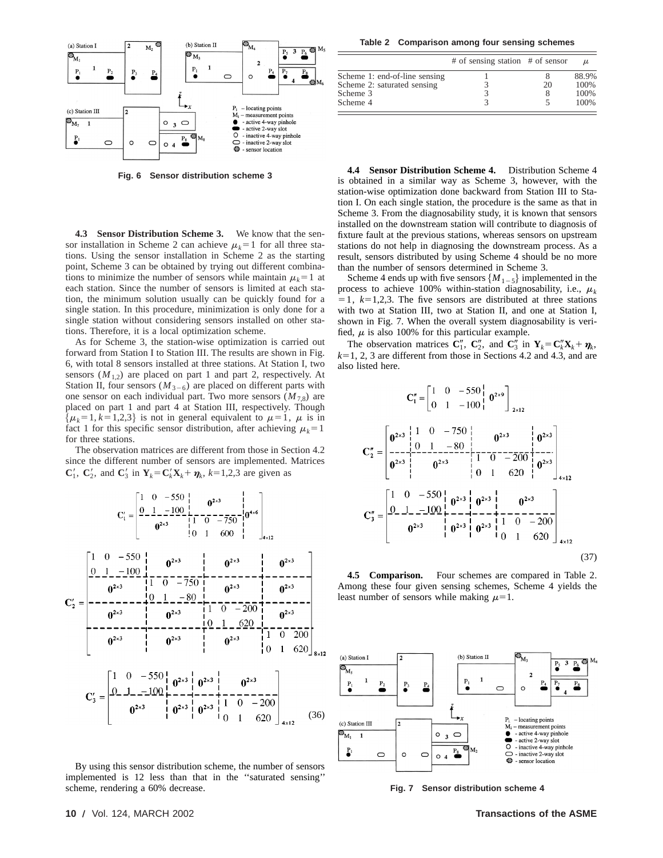

**Fig. 6 Sensor distribution scheme 3**

**4.3 Sensor Distribution Scheme 3.** We know that the sensor installation in Scheme 2 can achieve  $\mu_k=1$  for all three stations. Using the sensor installation in Scheme 2 as the starting point, Scheme 3 can be obtained by trying out different combinations to minimize the number of sensors while maintain  $\mu_k = 1$  at each station. Since the number of sensors is limited at each station, the minimum solution usually can be quickly found for a single station. In this procedure, minimization is only done for a single station without considering sensors installed on other stations. Therefore, it is a local optimization scheme.

As for Scheme 3, the station-wise optimization is carried out forward from Station I to Station III. The results are shown in Fig. 6, with total 8 sensors installed at three stations. At Station I, two sensors  $(M_{1,2})$  are placed on part 1 and part 2, respectively. At Station II, four sensors  $(M_{3-6})$  are placed on different parts with one sensor on each individual part. Two more sensors (*M*7,8) are placed on part 1 and part 4 at Station III, respectively. Though  $\{\mu_k=1, k=1,2,3\}$  is not in general equivalent to  $\mu=1$ ,  $\mu$  is in fact 1 for this specific sensor distribution, after achieving  $\mu_k=1$ for three stations.

The observation matrices are different from those in Section 4.2 since the different number of sensors are implemented. Matrices  $C'_1$ ,  $C'_2$ , and  $C'_3$  in  $Y_k = C'_k X_k + \eta_k$ ,  $k=1,2,3$  are given as



By using this sensor distribution scheme, the number of sensors implemented is 12 less than that in the ''saturated sensing'' scheme, rendering a 60% decrease.

**Table 2 Comparison among four sensing schemes**

|    | $\mu$                            |
|----|----------------------------------|
|    | 88.9%                            |
| 20 | 100%                             |
|    | 100%                             |
|    | 100%                             |
|    | # of sensing station # of sensor |

**4.4 Sensor Distribution Scheme 4.** Distribution Scheme 4 is obtained in a similar way as Scheme 3, however, with the station-wise optimization done backward from Station III to Station I. On each single station, the procedure is the same as that in Scheme 3. From the diagnosability study, it is known that sensors installed on the downstream station will contribute to diagnosis of fixture fault at the previous stations, whereas sensors on upstream stations do not help in diagnosing the downstream process. As a result, sensors distributed by using Scheme 4 should be no more than the number of sensors determined in Scheme 3.

Scheme 4 ends up with five sensors  ${M_{1-5}}$  implemented in the process to achieve 100% within-station diagnosability, i.e.,  $\mu_k$  $=1, k=1,2,3.$  The five sensors are distributed at three stations with two at Station III, two at Station II, and one at Station I, shown in Fig. 7. When the overall system diagnosability is verified,  $\mu$  is also 100% for this particular example.

The observation matrices  $\mathbf{C}''_1$ ,  $\mathbf{C}''_2$ , and  $\mathbf{C}''_3$  in  $\mathbf{Y}_k = \mathbf{C}''_k \mathbf{X}_k + \mathbf{\eta}_k$ ,  $k=1, 2, 3$  are different from those in Sections 4.2 and 4.3, and are also listed here.

$$
C''_1 = \begin{bmatrix} 1 & 0 & -550 \\ 0 & 1 & -100 \end{bmatrix} \begin{bmatrix} 0^{2\times 9} \end{bmatrix}_{2\times 12}
$$
  
\n
$$
C''_2 = \begin{bmatrix} 0^{2\times 3} & 1 & 0 & -750 \\ - & - & 0 & 1 & -80 \\ 0^{2\times 3} & 0^{2\times 3} & 1 & -\frac{750}{10} \\ 0^{2\times 3} & 0^{2\times 3} & 0 & 1 \end{bmatrix} \begin{bmatrix} 0^{2\times 3} & 0^{2\times 3} \\ 0 & 1 & 620 \end{bmatrix} \begin{bmatrix} 0^{2\times 3} \\ 0^{2\times 3} \\ - & -\frac{750}{10} \end{bmatrix}_{4\times 12}
$$
  
\n
$$
C''_3 = \begin{bmatrix} 1 & 0 & -550 \\ 0 & 1 & -100 \\ 0^{2\times 3} & 0^{2\times 3} & 0 \\ 0^{2\times 3} & 0^{2\times 3} & 1 & 0 \\ 0 & 1 & 620 \end{bmatrix}_{4\times 12}
$$
 (37)

**4.5 Comparison.** Four schemes are compared in Table 2. Among these four given sensing schemes, Scheme 4 yields the least number of sensors while making  $\mu=1$ .



**Fig. 7 Sensor distribution scheme 4**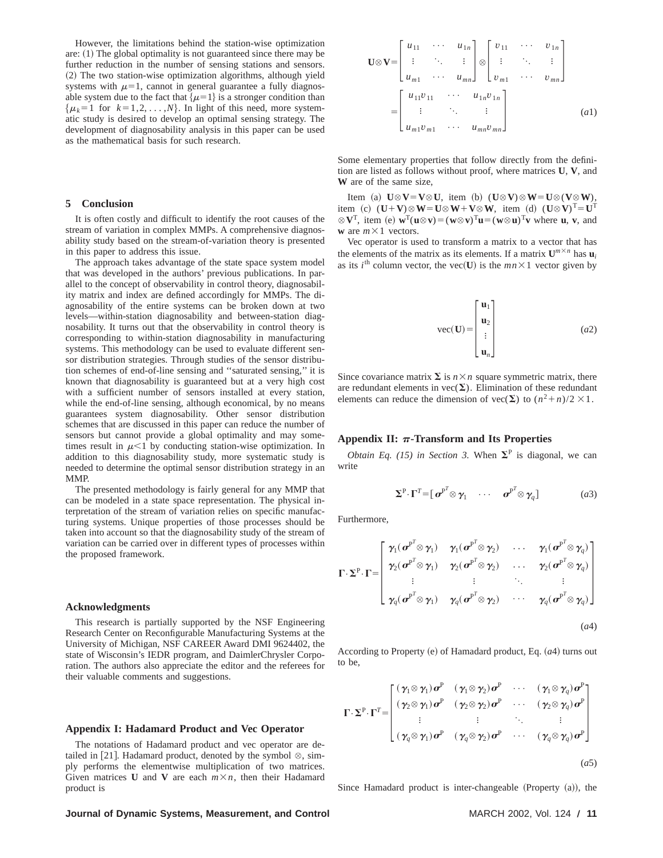However, the limitations behind the station-wise optimization are:  $(1)$  The global optimality is not guaranteed since there may be further reduction in the number of sensing stations and sensors. (2) The two station-wise optimization algorithms, although yield systems with  $\mu=1$ , cannot in general guarantee a fully diagnosable system due to the fact that  $\{\mu=1\}$  is a stronger condition than  $\{\mu_k=1 \text{ for } k=1,2,\ldots,N\}$ . In light of this need, more systematic study is desired to develop an optimal sensing strategy. The development of diagnosability analysis in this paper can be used as the mathematical basis for such research.

## **5 Conclusion**

It is often costly and difficult to identify the root causes of the stream of variation in complex MMPs. A comprehensive diagnosability study based on the stream-of-variation theory is presented in this paper to address this issue.

The approach takes advantage of the state space system model that was developed in the authors' previous publications. In parallel to the concept of observability in control theory, diagnosability matrix and index are defined accordingly for MMPs. The diagnosability of the entire systems can be broken down at two levels—within-station diagnosability and between-station diagnosability. It turns out that the observability in control theory is corresponding to within-station diagnosability in manufacturing systems. This methodology can be used to evaluate different sensor distribution strategies. Through studies of the sensor distribution schemes of end-of-line sensing and ''saturated sensing,'' it is known that diagnosability is guaranteed but at a very high cost with a sufficient number of sensors installed at every station, while the end-of-line sensing, although economical, by no means guarantees system diagnosability. Other sensor distribution schemes that are discussed in this paper can reduce the number of sensors but cannot provide a global optimality and may sometimes result in  $\mu$ <1 by conducting station-wise optimization. In addition to this diagnosability study, more systematic study is needed to determine the optimal sensor distribution strategy in an MMP.

The presented methodology is fairly general for any MMP that can be modeled in a state space representation. The physical interpretation of the stream of variation relies on specific manufacturing systems. Unique properties of those processes should be taken into account so that the diagnosability study of the stream of variation can be carried over in different types of processes within the proposed framework.

#### **Acknowledgments**

This research is partially supported by the NSF Engineering Research Center on Reconfigurable Manufacturing Systems at the University of Michigan, NSF CAREER Award DMI 9624402, the state of Wisconsin's IEDR program, and DaimlerChrysler Corporation. The authors also appreciate the editor and the referees for their valuable comments and suggestions.

#### **Appendix I: Hadamard Product and Vec Operator**

The notations of Hadamard product and vec operator are detailed in [21]. Hadamard product, denoted by the symbol  $\otimes$ , simply performs the elementwise multiplication of two matrices. Given matrices **U** and **V** are each  $m \times n$ , then their Hadamard product is

$$
\mathbf{U} \otimes \mathbf{V} = \begin{bmatrix} u_{11} & \cdots & u_{1n} \\ \vdots & \ddots & \vdots \\ u_{m1} & \cdots & u_{mn} \end{bmatrix} \otimes \begin{bmatrix} v_{11} & \cdots & v_{1n} \\ \vdots & \ddots & \vdots \\ v_{m1} & \cdots & v_{mn} \end{bmatrix}
$$

$$
= \begin{bmatrix} u_{11}v_{11} & \cdots & u_{1n}v_{1n} \\ \vdots & \ddots & \vdots \\ u_{m1}v_{m1} & \cdots & u_{mn}v_{mn} \end{bmatrix}
$$
(a1)

Some elementary properties that follow directly from the definition are listed as follows without proof, where matrices **U**, **V**, and **W** are of the same size,

Item (a)  $U \otimes V = V \otimes U$ , item (b)  $(U \otimes V) \otimes W = U \otimes (V \otimes W)$ , item (c)  $(\mathbf{U} + \mathbf{V}) \otimes \mathbf{W} = \mathbf{U} \otimes \mathbf{W} + \mathbf{V} \otimes \mathbf{W}$ , item (d)  $(\mathbf{U} \otimes \mathbf{V})^{\mathrm{T}} = \mathbf{U}^{\mathrm{T}}$  $\otimes$  **V**<sup>T</sup>, item (e)  $\mathbf{w}^T(\mathbf{u}\otimes\mathbf{v})=(\mathbf{w}\otimes\mathbf{v})^T\mathbf{u}=(\mathbf{w}\otimes\mathbf{u})^T\mathbf{v}$  where **u**, **v**, and **w** are  $m \times 1$  vectors.

Vec operator is used to transform a matrix to a vector that has the elements of the matrix as its elements. If a matrix  $\mathbf{U}^{m \times n}$  has  $\mathbf{u}_i$ as its *i*<sup>th</sup> column vector, the vec(**U**) is the  $mn \times 1$  vector given by

$$
\text{vec}(\mathbf{U}) = \begin{bmatrix} \mathbf{u}_1 \\ \mathbf{u}_2 \\ \vdots \\ \mathbf{u}_n \end{bmatrix} \tag{a2}
$$

Since covariance matrix  $\Sigma$  is  $n \times n$  square symmetric matrix, there are redundant elements in  $\text{vec}(\Sigma)$ . Elimination of these redundant elements can reduce the dimension of vec( $\Sigma$ ) to  $(n^2+n)/2 \times 1$ .

## Appendix II:  $\pi$ -Transform and Its Properties

*Obtain Eq. (15) in Section 3.* When  $\Sigma^P$  is diagonal, we can write

$$
\Sigma^{\mathbf{P}} \cdot \Gamma^T = [\boldsymbol{\sigma}^{\mathbf{P}^T} \otimes \boldsymbol{\gamma}_1 \quad \cdots \quad \boldsymbol{\sigma}^{\mathbf{P}^T} \otimes \boldsymbol{\gamma}_q] \tag{a3}
$$

Furthermore,

$$
\Gamma \cdot \Sigma^{\mathrm{P}} \cdot \Gamma = \begin{bmatrix} \gamma_1(\boldsymbol{\sigma}^{\mathrm{P}^T} \otimes \gamma_1) & \gamma_1(\boldsymbol{\sigma}^{\mathrm{P}^T} \otimes \gamma_2) & \cdots & \gamma_1(\boldsymbol{\sigma}^{\mathrm{P}^T} \otimes \gamma_q) \\ \gamma_2(\boldsymbol{\sigma}^{\mathrm{P}^T} \otimes \gamma_1) & \gamma_2(\boldsymbol{\sigma}^{\mathrm{P}^T} \otimes \gamma_2) & \cdots & \gamma_2(\boldsymbol{\sigma}^{\mathrm{P}^T} \otimes \gamma_q) \\ \vdots & \vdots & \ddots & \vdots \\ \gamma_q(\boldsymbol{\sigma}^{\mathrm{P}^T} \otimes \gamma_1) & \gamma_q(\boldsymbol{\sigma}^{\mathrm{P}^T} \otimes \gamma_2) & \cdots & \gamma_q(\boldsymbol{\sigma}^{\mathrm{P}^T} \otimes \gamma_q) \end{bmatrix}
$$

(*a*4)

According to Property  $(e)$  of Hamadard product, Eq.  $(a4)$  turns out to be,

$$
\Gamma \cdot \Sigma^{\mathrm{P}} \cdot \Gamma^T = \begin{bmatrix} (\gamma_1 \otimes \gamma_1) \sigma^{\mathrm{P}} & (\gamma_1 \otimes \gamma_2) \sigma^{\mathrm{P}} & \cdots & (\gamma_1 \otimes \gamma_q) \sigma^{\mathrm{P}} \\ (\gamma_2 \otimes \gamma_1) \sigma^{\mathrm{P}} & (\gamma_2 \otimes \gamma_2) \sigma^{\mathrm{P}} & \cdots & (\gamma_2 \otimes \gamma_q) \sigma^{\mathrm{P}} \\ \vdots & \vdots & \ddots & \vdots \\ (\gamma_q \otimes \gamma_1) \sigma^{\mathrm{P}} & (\gamma_q \otimes \gamma_2) \sigma^{\mathrm{P}} & \cdots & (\gamma_q \otimes \gamma_q) \sigma^{\mathrm{P}} \end{bmatrix}
$$
\n(45)

Since Hamadard product is inter-changeable  $(Property (a))$ , the

## **Journal of Dynamic Systems, Measurement, and Control MALL CONDUCT MARCH 2002, Vol. 124 / 11**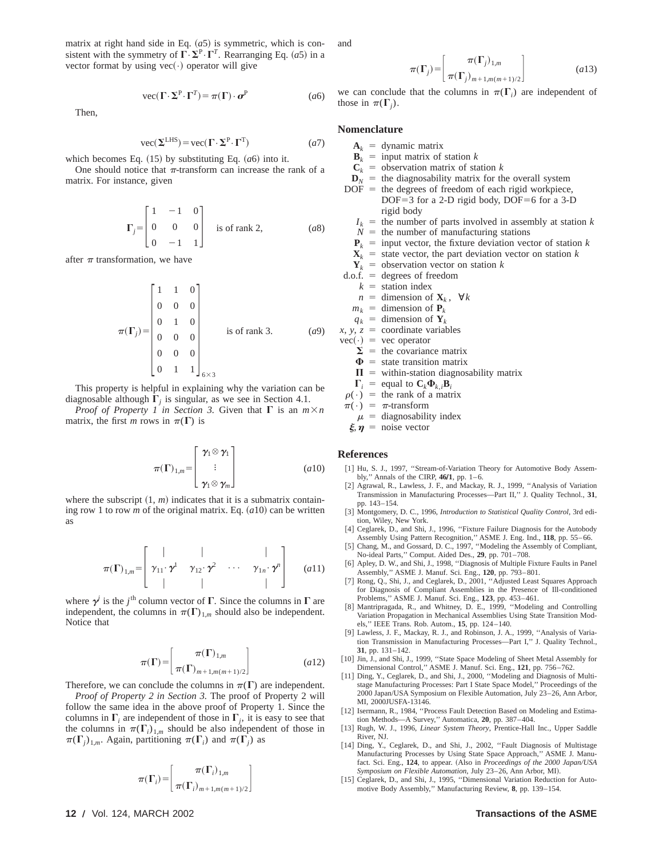matrix at right hand side in Eq.  $(a5)$  is symmetric, which is consistent with the symmetry of  $\Gamma \cdot \Sigma^P \cdot \Gamma^T$ . Rearranging Eq. (*a*5) in a vector format by using  $vec(\cdot)$  operator will give

Then,

$$
\text{vec}(\Gamma \cdot \Sigma^{\text{P}} \cdot \Gamma^T) = \pi(\Gamma) \cdot \boldsymbol{\sigma}^{\text{P}} \tag{a6}
$$

$$
\text{vec}(\mathbf{\Sigma}^{\text{LHS}}) = \text{vec}(\mathbf{\Gamma} \cdot \mathbf{\Sigma}^{\text{P}} \cdot \mathbf{\Gamma}^{\text{T}}) \tag{a7}
$$

which becomes Eq.  $(15)$  by substituting Eq.  $(a6)$  into it.

One should notice that  $\pi$ -transform can increase the rank of a matrix. For instance, given

$$
\Gamma_j = \begin{bmatrix} 1 & -1 & 0 \\ 0 & 0 & 0 \\ 0 & -1 & 1 \end{bmatrix} \text{ is of rank 2,} \qquad (a8)
$$

after  $\pi$  transformation, we have

$$
\pi(\Gamma_j) = \begin{bmatrix} 1 & 1 & 0 \\ 0 & 0 & 0 \\ 0 & 1 & 0 \\ 0 & 0 & 0 \\ 0 & 0 & 0 \\ 0 & 1 & 1 \end{bmatrix}
$$
 is of rank 3. (a9)

This property is helpful in explaining why the variation can be diagnosable although  $\Gamma$ <sub>*j*</sub> is singular, as we see in Section 4.1.

*Proof of Property 1 in Section 3.* Given that  $\Gamma$  is an  $m \times n$ matrix, the first *m* rows in  $\pi(\Gamma)$  is

$$
\pi(\Gamma)_{1,m} = \begin{bmatrix} \gamma_1 \otimes \gamma_1 \\ \vdots \\ \gamma_1 \otimes \gamma_m \end{bmatrix} \tag{a10}
$$

where the subscript  $(1, m)$  indicates that it is a submatrix containing row 1 to row  *of the original matrix. Eq.*  $(a10)$  *can be written* as

$$
\pi(\Gamma)_{1,m} = \begin{bmatrix} | & | & | & | \\ \gamma_{11} \cdot \gamma^1 & \gamma_{12} \cdot \gamma^2 & \cdots & \gamma_{1n} \cdot \gamma^n \\ | & | & | & | \end{bmatrix} \qquad (a11)
$$

where  $\gamma^j$  is the *j*<sup>th</sup> column vector of  $\Gamma$ . Since the columns in  $\Gamma$  are independent, the columns in  $\pi(\Gamma)_{1,m}$  should also be independent. Notice that

$$
\pi(\Gamma) = \begin{bmatrix} \pi(\Gamma)_{1,m} \\ \pi(\Gamma)_{m+1,m(m+1)/2} \end{bmatrix} \tag{a12}
$$

Therefore, we can conclude the columns in  $\pi(\Gamma)$  are independent. *Proof of Property 2 in Section 3.* The proof of Property 2 will follow the same idea in the above proof of Property 1. Since the columns in  $\Gamma$ <sub>*i*</sub> are independent of those in  $\Gamma$ <sub>*j*</sub>, it is easy to see that the columns in  $\pi(\Gamma_i)_{1,m}$  should be also independent of those in  $\pi(\Gamma_i)_{1,m}$ . Again, partitioning  $\pi(\Gamma_i)$  and  $\pi(\Gamma_j)$  as

$$
\pi(\Gamma_i) = \begin{bmatrix} \pi(\Gamma_i)_{1,m} \\ \pi(\Gamma_i)_{m+1,m(m+1)/2} \end{bmatrix}
$$

and

$$
\pi(\Gamma_j) = \begin{bmatrix} \pi(\Gamma_j)_{1,m} \\ \pi(\Gamma_j)_{m+1,m(m+1)/2} \end{bmatrix}
$$
 (a13)

we can conclude that the columns in  $\pi(\Gamma)$  are independent of those in  $\pi(\Gamma_i)$ .

#### **Nomenclature**

- $A_k$  = dynamic matrix
- $\mathbf{B}_k$  = input matrix of station *k*
- $C_k$  = observation matrix of station *k*
- $\mathbf{D}_N$  = the diagnosability matrix for the overall system
- $DOF =$  the degrees of freedom of each rigid workpiece, DOF=3 for a 2-D rigid body, DOF=6 for a  $3-D$ rigid body
	- $I_k$  = the number of parts involved in assembly at station *k*
	- $N =$  the number of manufacturing stations
	- $P_k$  = input vector, the fixture deviation vector of station *k*
	- $X_k$  = state vector, the part deviation vector on station *k*
	- $Y_k$  = observation vector on station *k*
- $d.o.f. = degrees of freedom$ 
	- $k =$  station index  $n =$  dimension of  $X_k$ ,  $\forall k$
	- $m_k$  = dimension of  $P_k$
	-
- $q_k$  = dimension of  $Y_k$  $x, y, z =$  coordinate variables
- $vec(\cdot)$  = vec operator
	- $\Sigma$  = the covariance matrix
		-
	- $\Phi$  = state transition matrix
	- $\Pi$  = within-station diagnosability matrix
	- $\Gamma_i$  = equal to  $C_k \Phi_{k,i} \mathbf{B}_i$
- $\rho(\cdot)$  = the rank of a matrix
- $\pi(\cdot) = \pi$ -transform
- $\mu$  = diagnosability index
- $\xi, \eta$  = noise vector

## **References**

- [1] Hu, S. J., 1997, "Stream-of-Variation Theory for Automotive Body Assembly," Annals of the CIRP,  $46/1$ , pp. 1–6.
- [2] Agrawal, R., Lawless, J. F., and Mackay, R. J., 1999, "Analysis of Variation Transmission in Manufacturing Processes—Part II,'' J. Quality Technol., **31**, pp. 143–154.
- [3] Montgomery, D. C., 1996, *Introduction to Statistical Quality Control*, 3rd edition, Wiley, New York.
- [4] Ceglarek, D., and Shi, J., 1996, "Fixture Failure Diagnosis for the Autobody Assembly Using Pattern Recognition,'' ASME J. Eng. Ind., **118**, pp. 55–66.
- [5] Chang, M., and Gossard, D. C., 1997, "Modeling the Assembly of Compliant, No-ideal Parts,'' Comput. Aided Des., **29**, pp. 701–708.
- [6] Apley, D. W., and Shi, J., 1998, "Diagnosis of Multiple Fixture Faults in Panel Assembly,'' ASME J. Manuf. Sci. Eng., **120**, pp. 793–801.
- [7] Rong, Q., Shi, J., and Ceglarek, D., 2001, "Adjusted Least Squares Approach for Diagnosis of Compliant Assemblies in the Presence of Ill-conditioned Problems," ASME J. Manuf. Sci. Eng., 123, pp. 453–461.<br>[8] Mantripragada, R., and Whitney, D. E., 1999, "Modeling and Controlling
- Variation Propagation in Mechanical Assemblies Using State Transition Models,'' IEEE Trans. Rob. Autom., **15**, pp. 124–140.
- [9] Lawless, J. F., Mackay, R. J., and Robinson, J. A., 1999, "Analysis of Variation Transmission in Manufacturing Processes—Part I,'' J. Quality Technol., **31**, pp. 131–142.
- [10] Jin, J., and Shi, J., 1999, "State Space Modeling of Sheet Metal Assembly for Dimensional Control,'' ASME J. Manuf. Sci. Eng., **121**, pp. 756–762.
- [11] Ding, Y., Ceglarek, D., and Shi, J., 2000, "Modeling and Diagnosis of Multistage Manufacturing Processes: Part I State Space Model,'' Proceedings of the 2000 Japan/USA Symposium on Flexible Automation, July 23–26, Ann Arbor, MI, 2000JUSFA-13146.
- [12] Isermann, R., 1984, "Process Fault Detection Based on Modeling and Estimation Methods—A Survey,'' Automatica, **20**, pp. 387–404.
- [13] Rugh, W. J., 1996, *Linear System Theory*, Prentice-Hall Inc., Upper Saddle River, NJ.
- [14] Ding, Y., Ceglarek, D., and Shi, J., 2002, "Fault Diagnosis of Multistage Manufacturing Processes by Using State Space Approach,'' ASME J. Manufact. Sci. Eng., 124, to appear. (Also in *Proceedings of the 2000 Japan/USA* Symposium on Flexible Automation, July 23-26, Ann Arbor, MI).
- [15] Ceglarek, D., and Shi, J., 1995, "Dimensional Variation Reduction for Automotive Body Assembly,'' Manufacturing Review, **8**, pp. 139–154.